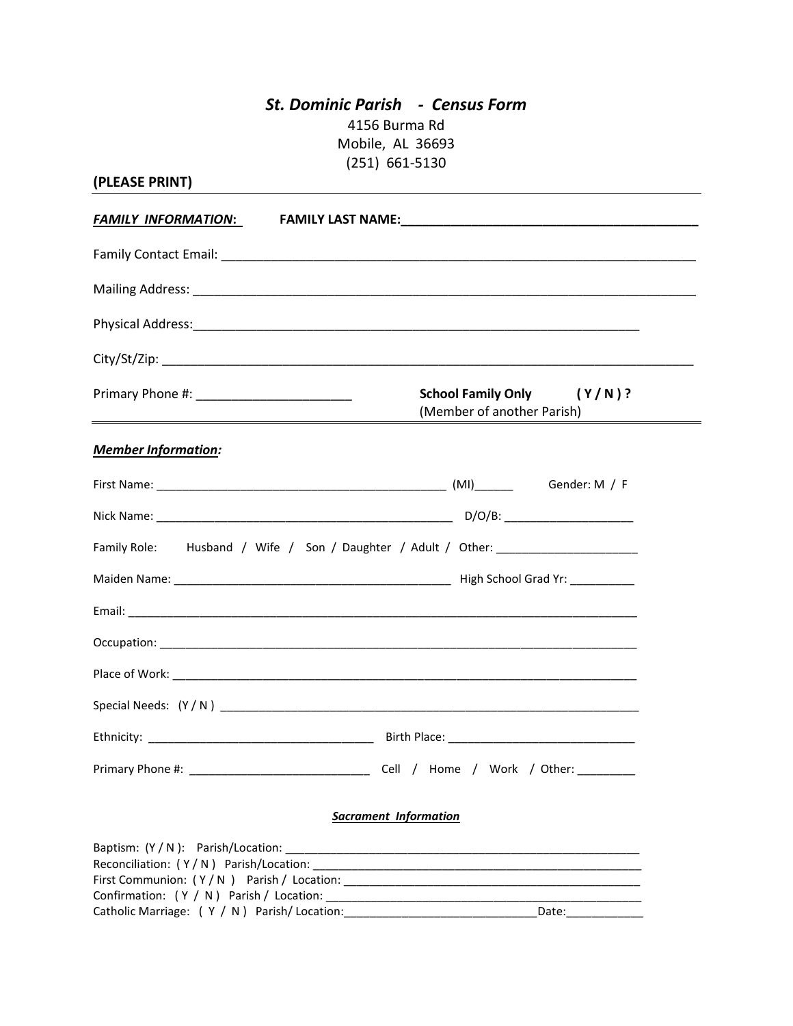## *St. Dominic Parish - Census Form* 4156 Burma Rd Mobile, AL 36693 (251) 661-5130

| (PLEASE PRINT)                                                                                                        |                                                                                                |
|-----------------------------------------------------------------------------------------------------------------------|------------------------------------------------------------------------------------------------|
|                                                                                                                       | <b>FAMILY INFORMATION:</b> FAMILY LAST NAME: <b>AND A CONSTANT OF A CONSTANT OF A CONSTANT</b> |
|                                                                                                                       |                                                                                                |
|                                                                                                                       |                                                                                                |
|                                                                                                                       |                                                                                                |
|                                                                                                                       |                                                                                                |
| <u> 1989 - Johann Stein, marwolaethau a bhann an t-Albann an t-Albann an t-Albann an t-Albann an t-Albann an t-Al</u> | <b>School Family Only</b><br>$(Y/N)$ ?<br>(Member of another Parish)                           |
| <b>Member Information:</b>                                                                                            |                                                                                                |
|                                                                                                                       |                                                                                                |
|                                                                                                                       |                                                                                                |
|                                                                                                                       | Family Role: Husband / Wife / Son / Daughter / Adult / Other: __________________               |
|                                                                                                                       |                                                                                                |
|                                                                                                                       |                                                                                                |
|                                                                                                                       |                                                                                                |
|                                                                                                                       |                                                                                                |
|                                                                                                                       |                                                                                                |
|                                                                                                                       |                                                                                                |
|                                                                                                                       |                                                                                                |
|                                                                                                                       | Sacrament Information                                                                          |
| $\text{Rantism} \cdot (V / N)$ Parich/Location                                                                        |                                                                                                |

| Baptism: (Y / N ): Parish/Location:           |       |
|-----------------------------------------------|-------|
| Reconciliation: (Y/N) Parish/Location:        |       |
| First Communion: (Y/N) Parish/Location:       |       |
| Confirmation: (Y / N) Parish / Location:      |       |
| Catholic Marriage: $(Y / N)$ Parish/Location: | Date: |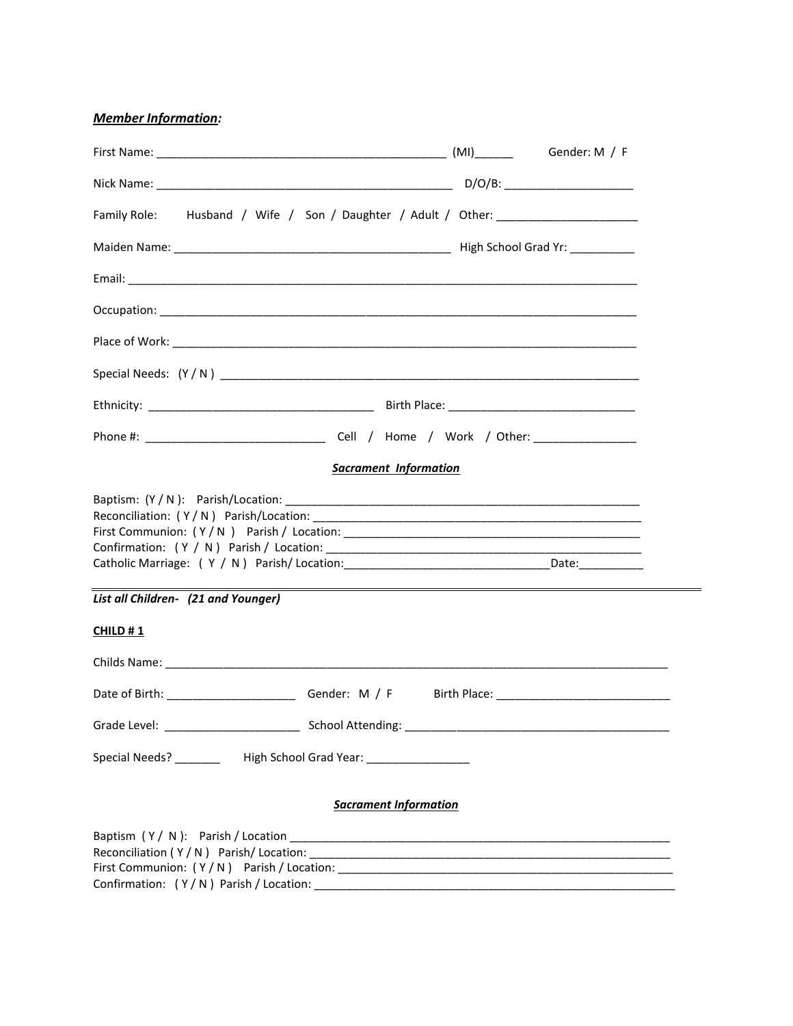*Member Information:*

| Family Role: Husband / Wife / Son / Daughter / Adult / Other: __________________                                                           |                              |  |
|--------------------------------------------------------------------------------------------------------------------------------------------|------------------------------|--|
|                                                                                                                                            |                              |  |
|                                                                                                                                            |                              |  |
|                                                                                                                                            |                              |  |
|                                                                                                                                            |                              |  |
|                                                                                                                                            |                              |  |
|                                                                                                                                            |                              |  |
|                                                                                                                                            |                              |  |
|                                                                                                                                            | <b>Sacrament Information</b> |  |
| Catholic Marriage: (Y / N) Parish/Location: ___________________________________Date: ______________<br>List all Children- (21 and Younger) |                              |  |
| CHILD #1                                                                                                                                   |                              |  |
|                                                                                                                                            |                              |  |
|                                                                                                                                            |                              |  |
|                                                                                                                                            |                              |  |
| Special Needs? ___________ High School Grad Year: ___________________                                                                      |                              |  |
|                                                                                                                                            | <b>Sacrament Information</b> |  |
|                                                                                                                                            |                              |  |